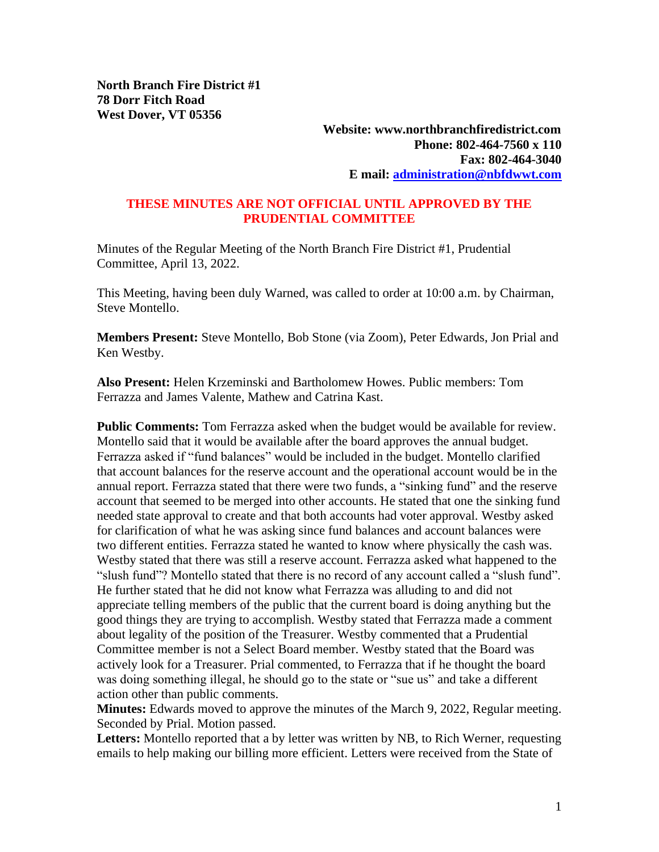**Website: www.northbranchfiredistrict.com Phone: 802-464-7560 x 110 Fax: 802-464-3040 E mail: [administration@nbfdwwt.com](mailto:administration@nbfdwwt.com)**

## **THESE MINUTES ARE NOT OFFICIAL UNTIL APPROVED BY THE PRUDENTIAL COMMITTEE**

Minutes of the Regular Meeting of the North Branch Fire District #1, Prudential Committee, April 13, 2022.

This Meeting, having been duly Warned, was called to order at 10:00 a.m. by Chairman, Steve Montello.

**Members Present:** Steve Montello, Bob Stone (via Zoom), Peter Edwards, Jon Prial and Ken Westby.

**Also Present:** Helen Krzeminski and Bartholomew Howes. Public members: Tom Ferrazza and James Valente, Mathew and Catrina Kast.

**Public Comments:** Tom Ferrazza asked when the budget would be available for review. Montello said that it would be available after the board approves the annual budget. Ferrazza asked if "fund balances" would be included in the budget. Montello clarified that account balances for the reserve account and the operational account would be in the annual report. Ferrazza stated that there were two funds, a "sinking fund" and the reserve account that seemed to be merged into other accounts. He stated that one the sinking fund needed state approval to create and that both accounts had voter approval. Westby asked for clarification of what he was asking since fund balances and account balances were two different entities. Ferrazza stated he wanted to know where physically the cash was. Westby stated that there was still a reserve account. Ferrazza asked what happened to the "slush fund"? Montello stated that there is no record of any account called a "slush fund". He further stated that he did not know what Ferrazza was alluding to and did not appreciate telling members of the public that the current board is doing anything but the good things they are trying to accomplish. Westby stated that Ferrazza made a comment about legality of the position of the Treasurer. Westby commented that a Prudential Committee member is not a Select Board member. Westby stated that the Board was actively look for a Treasurer. Prial commented, to Ferrazza that if he thought the board was doing something illegal, he should go to the state or "sue us" and take a different action other than public comments.

**Minutes:** Edwards moved to approve the minutes of the March 9, 2022, Regular meeting. Seconded by Prial. Motion passed.

**Letters:** Montello reported that a by letter was written by NB, to Rich Werner, requesting emails to help making our billing more efficient. Letters were received from the State of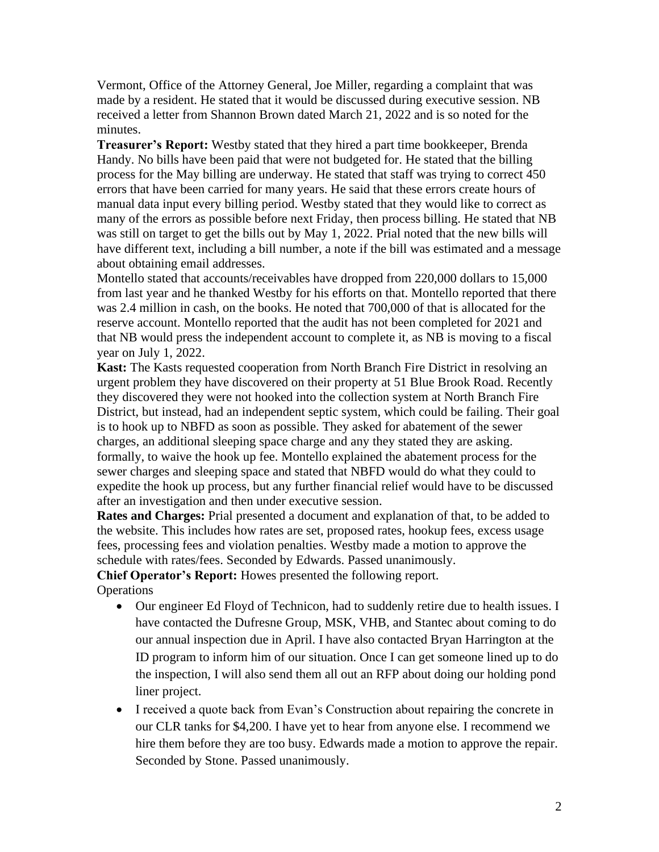Vermont, Office of the Attorney General, Joe Miller, regarding a complaint that was made by a resident. He stated that it would be discussed during executive session. NB received a letter from Shannon Brown dated March 21, 2022 and is so noted for the minutes.

**Treasurer's Report:** Westby stated that they hired a part time bookkeeper, Brenda Handy. No bills have been paid that were not budgeted for. He stated that the billing process for the May billing are underway. He stated that staff was trying to correct 450 errors that have been carried for many years. He said that these errors create hours of manual data input every billing period. Westby stated that they would like to correct as many of the errors as possible before next Friday, then process billing. He stated that NB was still on target to get the bills out by May 1, 2022. Prial noted that the new bills will have different text, including a bill number, a note if the bill was estimated and a message about obtaining email addresses.

Montello stated that accounts/receivables have dropped from 220,000 dollars to 15,000 from last year and he thanked Westby for his efforts on that. Montello reported that there was 2.4 million in cash, on the books. He noted that 700,000 of that is allocated for the reserve account. Montello reported that the audit has not been completed for 2021 and that NB would press the independent account to complete it, as NB is moving to a fiscal year on July 1, 2022.

**Kast:** The Kasts requested cooperation from North Branch Fire District in resolving an urgent problem they have discovered on their property at 51 Blue Brook Road. Recently they discovered they were not hooked into the collection system at North Branch Fire District, but instead, had an independent septic system, which could be failing. Their goal is to hook up to NBFD as soon as possible. They asked for abatement of the sewer charges, an additional sleeping space charge and any they stated they are asking. formally, to waive the hook up fee. Montello explained the abatement process for the sewer charges and sleeping space and stated that NBFD would do what they could to expedite the hook up process, but any further financial relief would have to be discussed after an investigation and then under executive session.

**Rates and Charges:** Prial presented a document and explanation of that, to be added to the website. This includes how rates are set, proposed rates, hookup fees, excess usage fees, processing fees and violation penalties. Westby made a motion to approve the schedule with rates/fees. Seconded by Edwards. Passed unanimously.

**Chief Operator's Report:** Howes presented the following report.

**Operations** 

- Our engineer Ed Floyd of Technicon, had to suddenly retire due to health issues. I have contacted the Dufresne Group, MSK, VHB, and Stantec about coming to do our annual inspection due in April. I have also contacted Bryan Harrington at the ID program to inform him of our situation. Once I can get someone lined up to do the inspection, I will also send them all out an RFP about doing our holding pond liner project.
- I received a quote back from Evan's Construction about repairing the concrete in our CLR tanks for \$4,200. I have yet to hear from anyone else. I recommend we hire them before they are too busy. Edwards made a motion to approve the repair. Seconded by Stone. Passed unanimously.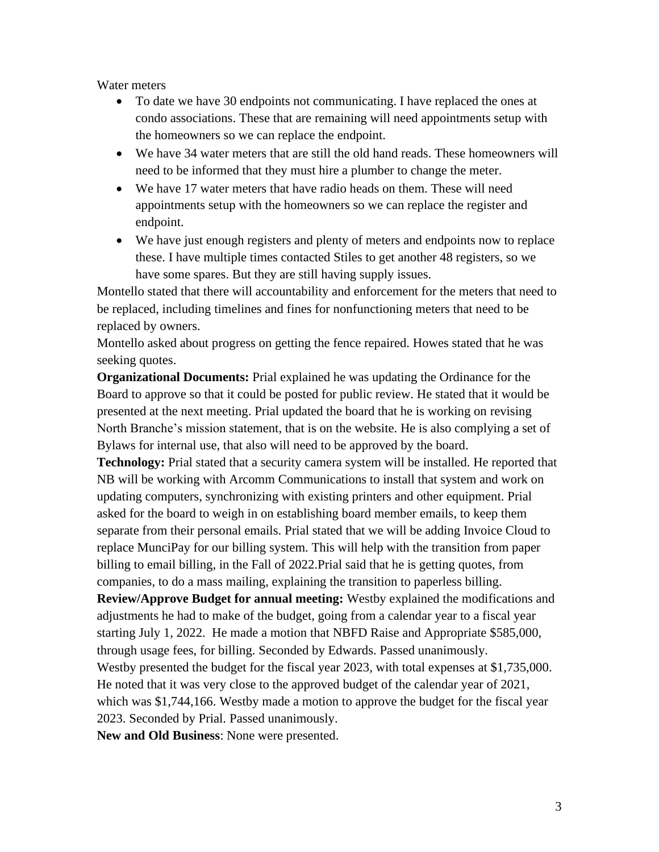Water meters

- To date we have 30 endpoints not communicating. I have replaced the ones at condo associations. These that are remaining will need appointments setup with the homeowners so we can replace the endpoint.
- We have 34 water meters that are still the old hand reads. These homeowners will need to be informed that they must hire a plumber to change the meter.
- We have 17 water meters that have radio heads on them. These will need appointments setup with the homeowners so we can replace the register and endpoint.
- We have just enough registers and plenty of meters and endpoints now to replace these. I have multiple times contacted Stiles to get another 48 registers, so we have some spares. But they are still having supply issues.

Montello stated that there will accountability and enforcement for the meters that need to be replaced, including timelines and fines for nonfunctioning meters that need to be replaced by owners.

Montello asked about progress on getting the fence repaired. Howes stated that he was seeking quotes.

**Organizational Documents:** Prial explained he was updating the Ordinance for the Board to approve so that it could be posted for public review. He stated that it would be presented at the next meeting. Prial updated the board that he is working on revising North Branche's mission statement, that is on the website. He is also complying a set of Bylaws for internal use, that also will need to be approved by the board.

**Technology:** Prial stated that a security camera system will be installed. He reported that NB will be working with Arcomm Communications to install that system and work on updating computers, synchronizing with existing printers and other equipment. Prial asked for the board to weigh in on establishing board member emails, to keep them separate from their personal emails. Prial stated that we will be adding Invoice Cloud to replace MunciPay for our billing system. This will help with the transition from paper billing to email billing, in the Fall of 2022. Prial said that he is getting quotes, from companies, to do a mass mailing, explaining the transition to paperless billing.

**Review/Approve Budget for annual meeting:** Westby explained the modifications and adjustments he had to make of the budget, going from a calendar year to a fiscal year starting July 1, 2022. He made a motion that NBFD Raise and Appropriate \$585,000, through usage fees, for billing. Seconded by Edwards. Passed unanimously. Westby presented the budget for the fiscal year 2023, with total expenses at \$1,735,000.

He noted that it was very close to the approved budget of the calendar year of 2021, which was \$1,744,166. Westby made a motion to approve the budget for the fiscal year 2023. Seconded by Prial. Passed unanimously.

**New and Old Business**: None were presented.